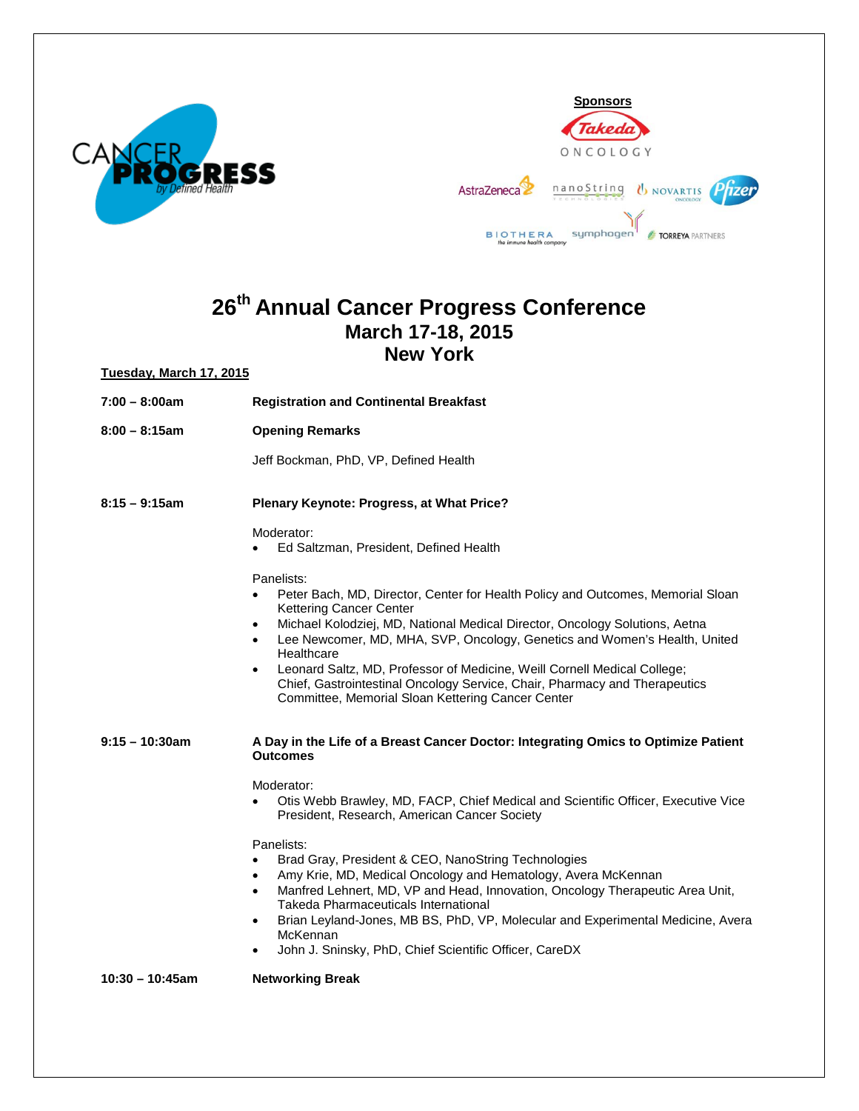



## **26th Annual Cancer Progress Conference March 17-18, 2015 New York**

**Tuesday, March 17, 2015**

- **7:00 – 8:00am Registration and Continental Breakfast 8:00 – 8:15am Opening Remarks** 
	- Jeff Bockman, PhD, VP, Defined Health

**8:15 – 9:15am Plenary Keynote: Progress, at What Price?**

Moderator:

• Ed Saltzman, President, Defined Health

Panelists:

- Peter Bach, MD, Director, Center for Health Policy and Outcomes, Memorial Sloan Kettering Cancer Center
- Michael Kolodziej, MD, National Medical Director, Oncology Solutions, Aetna
- Lee Newcomer, MD, MHA, SVP, Oncology, Genetics and Women's Health, United **Healthcare**
- Leonard Saltz, MD, Professor of Medicine, Weill Cornell Medical College; Chief, Gastrointestinal Oncology Service, Chair, Pharmacy and Therapeutics Committee, Memorial Sloan Kettering Cancer Center

**9:15 – 10:30am A Day in the Life of a Breast Cancer Doctor: Integrating Omics to Optimize Patient Outcomes**

Moderator:

• Otis Webb Brawley, MD, FACP, Chief Medical and Scientific Officer, Executive Vice President, Research, American Cancer Society

## Panelists:

- Brad Gray, President & CEO, NanoString Technologies
- Amy Krie, MD, Medical Oncology and Hematology, Avera McKennan
- Manfred Lehnert, MD, VP and Head, Innovation, Oncology Therapeutic Area Unit, Takeda Pharmaceuticals International
- Brian Leyland-Jones, MB BS, PhD, VP, Molecular and Experimental Medicine, Avera McKennan
- John J. Sninsky, PhD, Chief Scientific Officer, CareDX

**10:30 – 10:45am Networking Break**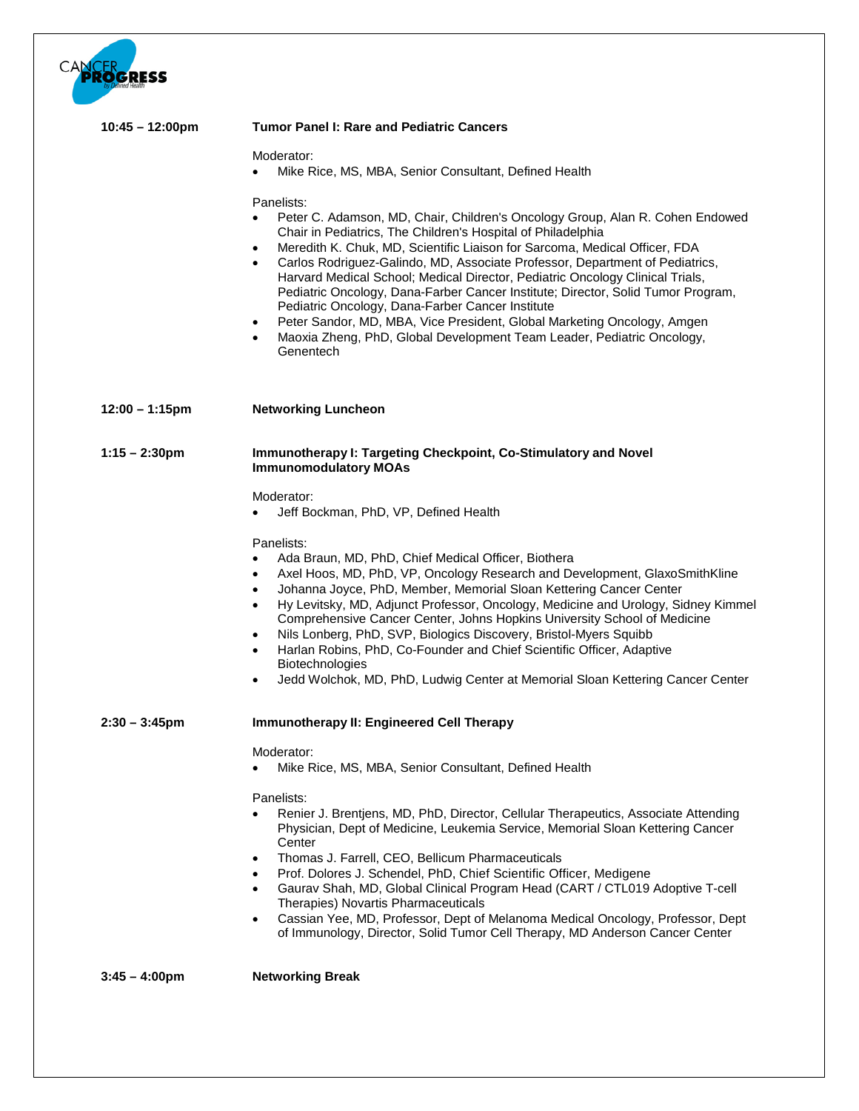

| $10:45 - 12:00 \text{pm}$ | <b>Tumor Panel I: Rare and Pediatric Cancers</b>                                                                                                                                                                                                                                                                                                                                                                                                                                                                                                                                                                                                                                                                                               |
|---------------------------|------------------------------------------------------------------------------------------------------------------------------------------------------------------------------------------------------------------------------------------------------------------------------------------------------------------------------------------------------------------------------------------------------------------------------------------------------------------------------------------------------------------------------------------------------------------------------------------------------------------------------------------------------------------------------------------------------------------------------------------------|
|                           | Moderator:<br>Mike Rice, MS, MBA, Senior Consultant, Defined Health                                                                                                                                                                                                                                                                                                                                                                                                                                                                                                                                                                                                                                                                            |
|                           | Panelists:<br>Peter C. Adamson, MD, Chair, Children's Oncology Group, Alan R. Cohen Endowed<br>Chair in Pediatrics, The Children's Hospital of Philadelphia<br>Meredith K. Chuk, MD, Scientific Liaison for Sarcoma, Medical Officer, FDA<br>$\bullet$<br>Carlos Rodriguez-Galindo, MD, Associate Professor, Department of Pediatrics,<br>Harvard Medical School; Medical Director, Pediatric Oncology Clinical Trials,<br>Pediatric Oncology, Dana-Farber Cancer Institute; Director, Solid Tumor Program,<br>Pediatric Oncology, Dana-Farber Cancer Institute<br>Peter Sandor, MD, MBA, Vice President, Global Marketing Oncology, Amgen<br>$\bullet$<br>Maoxia Zheng, PhD, Global Development Team Leader, Pediatric Oncology,<br>Genentech |
| $12:00 - 1:15$ pm         | <b>Networking Luncheon</b>                                                                                                                                                                                                                                                                                                                                                                                                                                                                                                                                                                                                                                                                                                                     |
| $1:15 - 2:30$ pm          | Immunotherapy I: Targeting Checkpoint, Co-Stimulatory and Novel<br><b>Immunomodulatory MOAs</b>                                                                                                                                                                                                                                                                                                                                                                                                                                                                                                                                                                                                                                                |
|                           | Moderator:<br>Jeff Bockman, PhD, VP, Defined Health<br>$\bullet$                                                                                                                                                                                                                                                                                                                                                                                                                                                                                                                                                                                                                                                                               |
|                           | Panelists:<br>Ada Braun, MD, PhD, Chief Medical Officer, Biothera<br>Axel Hoos, MD, PhD, VP, Oncology Research and Development, GlaxoSmithKline<br>$\bullet$<br>Johanna Joyce, PhD, Member, Memorial Sloan Kettering Cancer Center<br>$\bullet$<br>Hy Levitsky, MD, Adjunct Professor, Oncology, Medicine and Urology, Sidney Kimmel<br>$\bullet$<br>Comprehensive Cancer Center, Johns Hopkins University School of Medicine<br>Nils Lonberg, PhD, SVP, Biologics Discovery, Bristol-Myers Squibb<br>٠<br>Harlan Robins, PhD, Co-Founder and Chief Scientific Officer, Adaptive<br>Biotechnologies<br>Jedd Wolchok, MD, PhD, Ludwig Center at Memorial Sloan Kettering Cancer Center<br>$\bullet$                                             |
| $2:30 - 3:45$ pm          | Immunotherapy II: Engineered Cell Therapy                                                                                                                                                                                                                                                                                                                                                                                                                                                                                                                                                                                                                                                                                                      |
|                           | Moderator:<br>Mike Rice, MS, MBA, Senior Consultant, Defined Health<br>Panelists:<br>Renier J. Brentjens, MD, PhD, Director, Cellular Therapeutics, Associate Attending<br>Physician, Dept of Medicine, Leukemia Service, Memorial Sloan Kettering Cancer<br>Center<br>Thomas J. Farrell, CEO, Bellicum Pharmaceuticals<br>$\bullet$                                                                                                                                                                                                                                                                                                                                                                                                           |
|                           | Prof. Dolores J. Schendel, PhD, Chief Scientific Officer, Medigene<br>$\bullet$<br>Gaurav Shah, MD, Global Clinical Program Head (CART / CTL019 Adoptive T-cell<br>$\bullet$<br>Therapies) Novartis Pharmaceuticals<br>Cassian Yee, MD, Professor, Dept of Melanoma Medical Oncology, Professor, Dept<br>$\bullet$<br>of Immunology, Director, Solid Tumor Cell Therapy, MD Anderson Cancer Center                                                                                                                                                                                                                                                                                                                                             |
| $3:45 - 4:00 \text{pm}$   | <b>Networking Break</b>                                                                                                                                                                                                                                                                                                                                                                                                                                                                                                                                                                                                                                                                                                                        |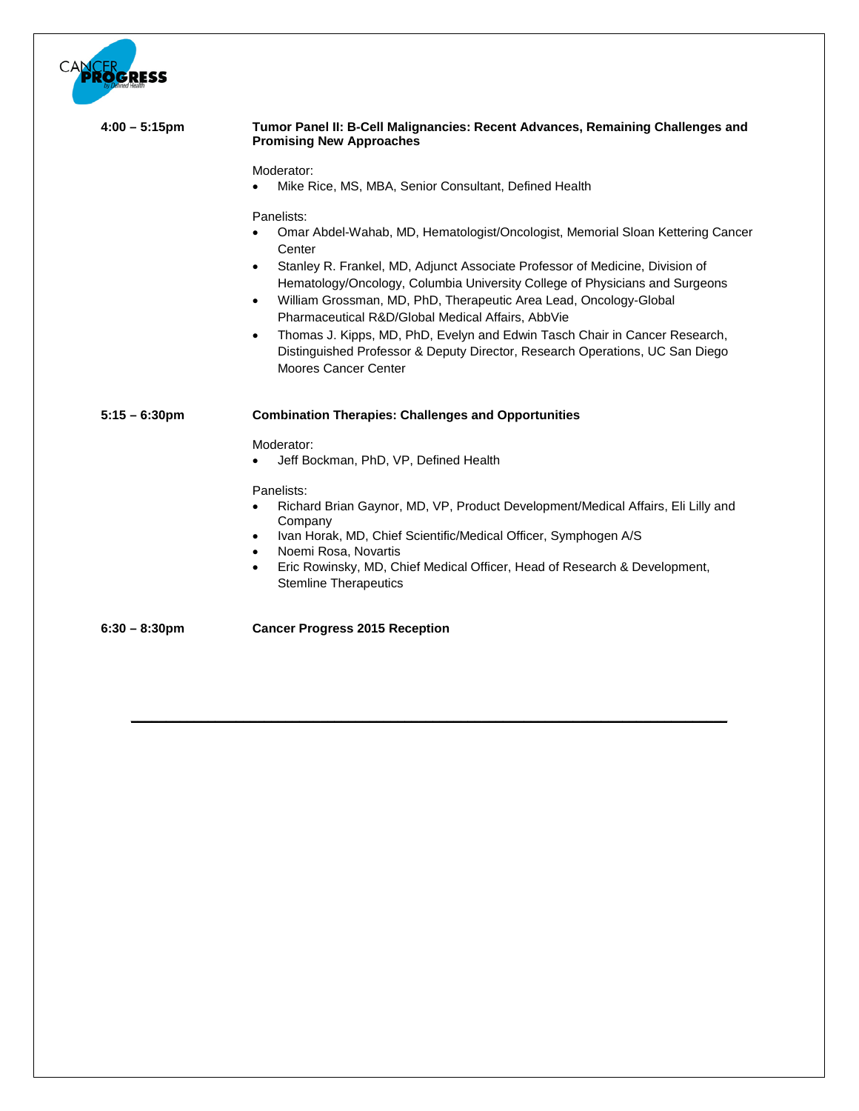| •1933            |                                                                                                                                                                                                                                                                                                                 |
|------------------|-----------------------------------------------------------------------------------------------------------------------------------------------------------------------------------------------------------------------------------------------------------------------------------------------------------------|
| $4:00 - 5:15$ pm | Tumor Panel II: B-Cell Malignancies: Recent Advances, Remaining Challenges and<br><b>Promising New Approaches</b>                                                                                                                                                                                               |
|                  | Moderator:<br>Mike Rice, MS, MBA, Senior Consultant, Defined Health                                                                                                                                                                                                                                             |
|                  | Panelists:<br>Omar Abdel-Wahab, MD, Hematologist/Oncologist, Memorial Sloan Kettering Cancer<br>Center                                                                                                                                                                                                          |
|                  | Stanley R. Frankel, MD, Adjunct Associate Professor of Medicine, Division of<br>$\bullet$<br>Hematology/Oncology, Columbia University College of Physicians and Surgeons<br>William Grossman, MD, PhD, Therapeutic Area Lead, Oncology-Global<br>$\bullet$<br>Pharmaceutical R&D/Global Medical Affairs, AbbVie |
|                  | Thomas J. Kipps, MD, PhD, Evelyn and Edwin Tasch Chair in Cancer Research,<br>$\bullet$<br>Distinguished Professor & Deputy Director, Research Operations, UC San Diego<br>Moores Cancer Center                                                                                                                 |
| $5:15 - 6:30$ pm | <b>Combination Therapies: Challenges and Opportunities</b>                                                                                                                                                                                                                                                      |
|                  | Moderator:<br>Jeff Bockman, PhD, VP, Defined Health                                                                                                                                                                                                                                                             |
|                  | Panelists:<br>Richard Brian Gaynor, MD, VP, Product Development/Medical Affairs, Eli Lilly and<br>$\bullet$<br>Company<br>Ivan Horak, MD, Chief Scientific/Medical Officer, Symphogen A/S<br>$\bullet$                                                                                                          |
|                  | Noemi Rosa, Novartis<br>٠<br>Eric Rowinsky, MD, Chief Medical Officer, Head of Research & Development,<br>$\bullet$<br><b>Stemline Therapeutics</b>                                                                                                                                                             |
| $6:30 - 8:30$ pm | <b>Cancer Progress 2015 Reception</b>                                                                                                                                                                                                                                                                           |

**\_\_\_\_\_\_\_\_\_\_\_\_\_\_\_\_\_\_\_\_\_\_\_\_\_\_\_\_\_\_\_\_\_\_\_\_\_\_\_\_\_\_\_\_\_\_\_\_\_\_\_\_\_\_\_\_\_\_\_\_\_\_\_\_\_\_\_\_\_\_\_\_\_\_\_\_\_\_\_\_\_\_\_\_\_**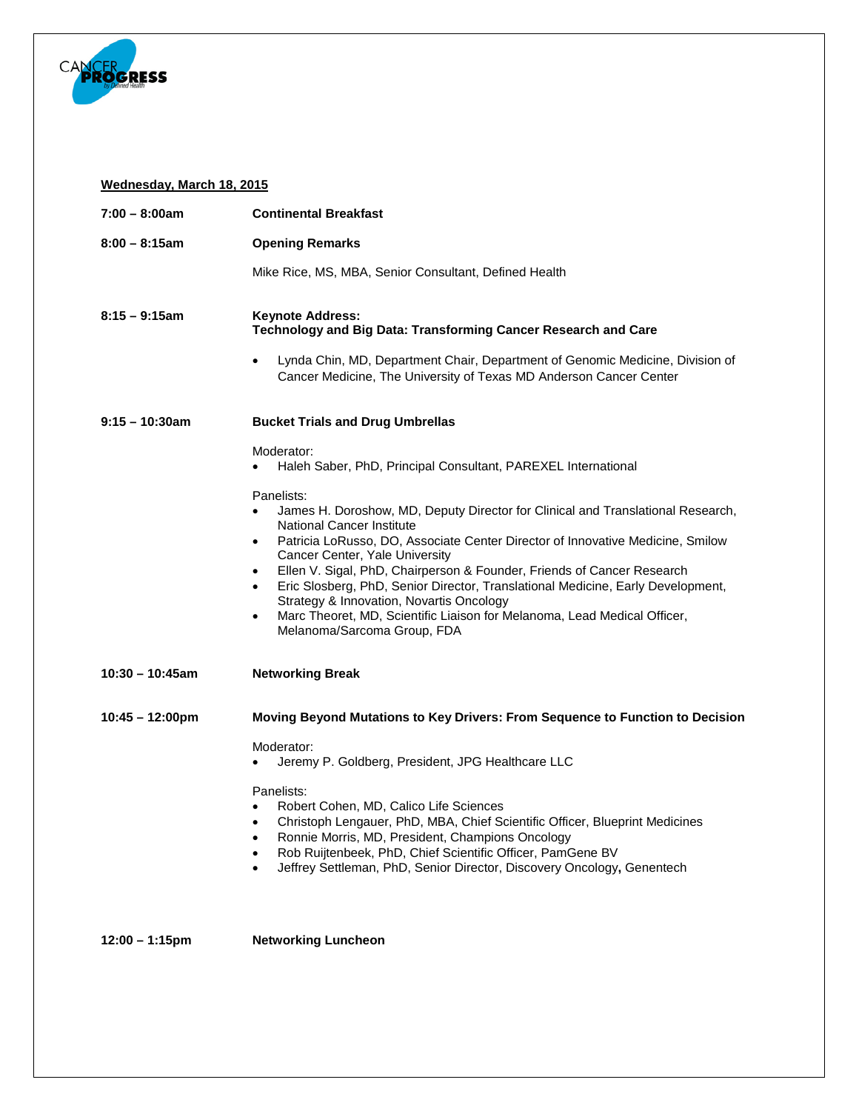

## **Wednesday, March 18, 2015**

| $7:00 - 8:00am$           | <b>Continental Breakfast</b>                                                                                                                                                            |
|---------------------------|-----------------------------------------------------------------------------------------------------------------------------------------------------------------------------------------|
| $8:00 - 8:15am$           | <b>Opening Remarks</b>                                                                                                                                                                  |
|                           | Mike Rice, MS, MBA, Senior Consultant, Defined Health                                                                                                                                   |
| $8:15 - 9:15$ am          | <b>Keynote Address:</b><br>Technology and Big Data: Transforming Cancer Research and Care<br>Lynda Chin, MD, Department Chair, Department of Genomic Medicine, Division of<br>$\bullet$ |
|                           | Cancer Medicine, The University of Texas MD Anderson Cancer Center                                                                                                                      |
| $9:15 - 10:30$ am         | <b>Bucket Trials and Drug Umbrellas</b>                                                                                                                                                 |
|                           | Moderator:                                                                                                                                                                              |
|                           | Haleh Saber, PhD, Principal Consultant, PAREXEL International                                                                                                                           |
|                           | Panelists:<br>James H. Doroshow, MD, Deputy Director for Clinical and Translational Research,<br>$\bullet$<br>National Cancer Institute                                                 |
|                           | Patricia LoRusso, DO, Associate Center Director of Innovative Medicine, Smilow<br>$\bullet$                                                                                             |
|                           | Cancer Center, Yale University<br>Ellen V. Sigal, PhD, Chairperson & Founder, Friends of Cancer Research<br>$\bullet$                                                                   |
|                           | Eric Slosberg, PhD, Senior Director, Translational Medicine, Early Development,<br>$\bullet$<br>Strategy & Innovation, Novartis Oncology                                                |
|                           | Marc Theoret, MD, Scientific Liaison for Melanoma, Lead Medical Officer,<br>$\bullet$<br>Melanoma/Sarcoma Group, FDA                                                                    |
| $10:30 - 10:45am$         | <b>Networking Break</b>                                                                                                                                                                 |
| $10:45 - 12:00 \text{pm}$ | Moving Beyond Mutations to Key Drivers: From Sequence to Function to Decision                                                                                                           |
|                           | Moderator:                                                                                                                                                                              |
|                           | Jeremy P. Goldberg, President, JPG Healthcare LLC                                                                                                                                       |
|                           | Panelists:                                                                                                                                                                              |
|                           | Robert Cohen, MD, Calico Life Sciences<br>Christoph Lengauer, PhD, MBA, Chief Scientific Officer, Blueprint Medicines<br>$\bullet$                                                      |
|                           | Ronnie Morris, MD, President, Champions Oncology                                                                                                                                        |
|                           | Rob Ruijtenbeek, PhD, Chief Scientific Officer, PamGene BV<br>$\bullet$<br>Jeffrey Settleman, PhD, Senior Director, Discovery Oncology, Genentech<br>$\bullet$                          |
|                           |                                                                                                                                                                                         |
| $12:00 - 1:15$ pm         | <b>Networking Luncheon</b>                                                                                                                                                              |